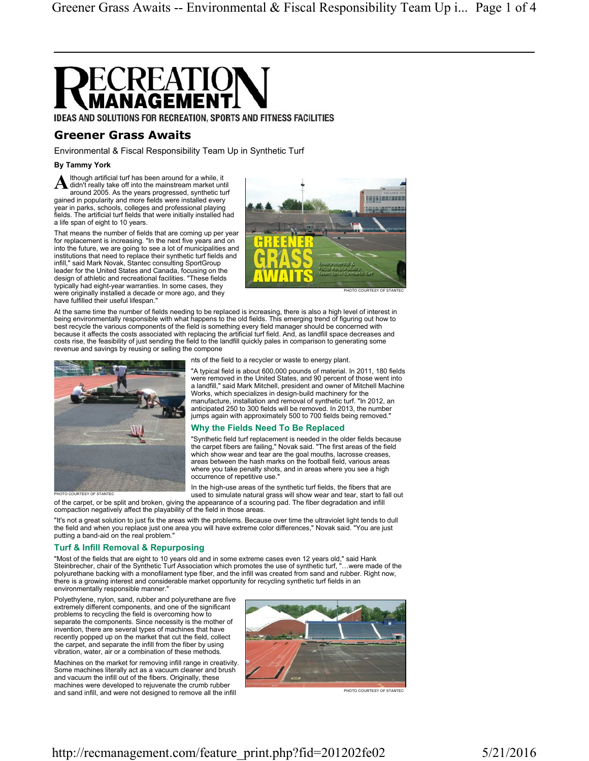

IDEAS AND SOLUTIONS FOR RECREATION, SPORTS AND FITNESS FACILITIES

# Greener Grass Awaits

Environmental & Fiscal Responsibility Team Up in Synthetic Turf

### By Tammy York

A didn't really take off into the mainstream market until lthough artificial turf has been around for a while, it around 2005. As the years progressed, synthetic turf gained in popularity and more fields were installed every year in parks, schools, colleges and professional playing fields. The artificial turf fields that were initially installed had a life span of eight to 10 years.

That means the number of fields that are coming up per year for replacement is increasing. "In the next five years and on into the future, we are going to see a lot of municipalities and institutions that need to replace their synthetic turf fields and infill," said Mark Novak, Stantec consulting SportGroup leader for the United States and Canada, focusing on the design of athletic and recreational facilities. "These fields typically had eight-year warranties. In some cases, they were originally installed a decade or more ago, and they have fulfilled their useful lifespan."



PHOTO COURTESY OF STANTEC

At the same time the number of fields needing to be replaced is increasing, there is also a high level of interest in being environmentally responsible with what happens to the old fields. This emerging trend of figuring out how to best recycle the various components of the field is something every field manager should be concerned with because it affects the costs associated with replacing the artificial turf field. And, as landfill space decreases and costs rise, the feasibility of just sending the field to the landfill quickly pales in comparison to generating some revenue and savings by reusing or selling the compone



nts of the field to a recycler or waste to energy plant.

"A typical field is about 600,000 pounds of material. In 2011, 180 fields were removed in the United States, and 90 percent of those went into a landfill," said Mark Mitchell, president and owner of Mitchell Machine Works, which specializes in design-build machinery for the manufacture, installation and removal of synthetic turf. "In 2012, an anticipated 250 to 300 fields will be removed. In 2013, the number jumps again with approximately 500 to 700 fields being removed."

### Why the Fields Need To Be Replaced

"Synthetic field turf replacement is needed in the older fields because the carpet fibers are failing," Novak said. "The first areas of the field which show wear and tear are the goal mouths, lacrosse creases, areas between the hash marks on the football field, various areas where you take penalty shots, and in areas where you see a high occurrence of repetitive use."

In the high-use areas of the synthetic turf fields, the fibers that are used to simulate natural grass will show wear and tear, start to fall out of the carpet, or be split and broken, giving the appearance of a scouring pad. The fiber degradation and infill

compaction negatively affect the playability of the field in those areas. "It's not a great solution to just fix the areas with the problems. Because over time the ultraviolet light tends to dull

the field and when you replace just one area you will have extreme color differences," Novak said. "You are just putting a band-aid on the real problem."

## Turf & Infill Removal & Repurposing

"Most of the fields that are eight to 10 years old and in some extreme cases even 12 years old," said Hank Steinbrecher, chair of the Synthetic Turf Association which promotes the use of synthetic turf, "…were made of the polyurethane backing with a monofilament type fiber, and the infill was created from sand and rubber. Right now, there is a growing interest and considerable market opportunity for recycling synthetic turf fields in an environmentally responsible manner.

Polyethylene, nylon, sand, rubber and polyurethane are five extremely different components, and one of the significant problems to recycling the field is overcoming how to separate the components. Since necessity is the mother of invention, there are several types of machines that have recently popped up on the market that cut the field, collect the carpet, and separate the infill from the fiber by using vibration, water, air or a combination of these methods.

Machines on the market for removing infill range in creativity. Some machines literally act as a vacuum cleaner and brush and vacuum the infill out of the fibers. Originally, these machines were developed to rejuvenate the crumb rubber and sand infill, and were not designed to remove all the infill



http://recmanagement.com/feature\_print.php?fid=201202fe02 5/21/2016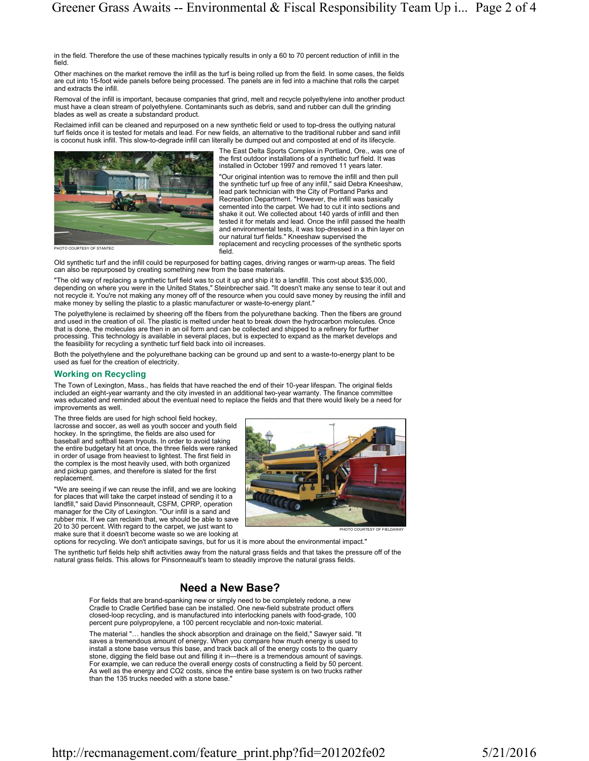in the field. Therefore the use of these machines typically results in only a 60 to 70 percent reduction of infill in the field.

Other machines on the market remove the infill as the turf is being rolled up from the field. In some cases, the fields are cut into 15-foot wide panels before being processed. The panels are in fed into a machine that rolls the carpet and extracts the infill.

Removal of the infill is important, because companies that grind, melt and recycle polyethylene into another product must have a clean stream of polyethylene. Contaminants such as debris, sand and rubber can dull the grinding blades as well as create a substandard product.

Reclaimed infill can be cleaned and repurposed on a new synthetic field or used to top-dress the outlying natural turf fields once it is tested for metals and lead. For new fields, an alternative to the traditional rubber and sand infill is coconut husk infill. This slow-to-degrade infill can literally be dumped out and composted at end of its lifecycle.



**PHOTO COURTESY OF STANTEC** 

The East Delta Sports Complex in Portland, Ore., was one of the first outdoor installations of a synthetic turf field. It was installed in October 1997 and removed 11 years later.

"Our original intention was to remove the infill and then pull the synthetic turf up free of any infill," said Debra Kneeshaw, lead park technician with the City of Portland Parks and Recreation Department. "However, the infill was basically cemented into the carpet. We had to cut it into sections and shake it out. We collected about 140 yards of infill and then tested it for metals and lead. Once the infill passed the health and environmental tests, it was top-dressed in a thin layer on our natural turf fields." Kneeshaw supervised the replacement and recycling processes of the synthetic sports field.

Old synthetic turf and the infill could be repurposed for batting cages, driving ranges or warm-up areas. The field can also be repurposed by creating something new from the base materials.

"The old way of replacing a synthetic turf field was to cut it up and ship it to a landfill. This cost about \$35,000,<br>depending on where you were in the United States," Steinbrecher said. "It doesn't make any sense to tear not recycle it. You're not making any money off of the resource when you could save money by reusing the infill and make money by selling the plastic to a plastic manufacturer or waste-to-energy plant."

The polyethylene is reclaimed by sheering off the fibers from the polyurethane backing. Then the fibers are ground and used in the creation of oil. The plastic is melted under heat to break down the hydrocarbon molecules. Once that is done, the molecules are then in an oil form and can be collected and shipped to a refinery for further processing. This technology is available in several places, but is expected to expand as the market develops and the feasibility for recycling a synthetic turf field back into oil increases.

Both the polyethylene and the polyurethane backing can be ground up and sent to a waste-to-energy plant to be used as fuel for the creation of electricity.

### Working on Recycling

The Town of Lexington, Mass., has fields that have reached the end of their 10-year lifespan. The original fields included an eight-year warranty and the city invested in an additional two-year warranty. The finance committee was educated and reminded about the eventual need to replace the fields and that there would likely be a need for improvements as well.

The three fields are used for high school field hockey, lacrosse and soccer, as well as youth soccer and youth field hockey. In the springtime, the fields are also used for baseball and softball team tryouts. In order to avoid taking the entire budgetary hit at once, the three fields were ranked in order of usage from heaviest to lightest. The first field in the complex is the most heavily used, with both organized and pickup games, and therefore is slated for the first replacement.

"We are seeing if we can reuse the infill, and we are looking for places that will take the carpet instead of sending it to a landfill," said David Pinsonneault, CSFM, CPRP, operation manager for the City of Lexington. "Our infill is a sand and rubber mix. If we can reclaim that, we should be able to save 20 to 30 percent. With regard to the carpet, we just want to make sure that it doesn't become waste so we are looking at



options for recycling. We don't anticipate savings, but for us it is more about the environmental impact."

The synthetic turf fields help shift activities away from the natural grass fields and that takes the pressure off of the natural grass fields. This allows for Pinsonneault's team to steadily improve the natural grass fields.

# Need a New Base?

For fields that are brand-spanking new or simply need to be completely redone, a new Cradle to Cradle Certified base can be installed. One new-field substrate product offers closed-loop recycling, and is manufactured into interlocking panels with food-grade, 100 percent pure polypropylene, a 100 percent recyclable and non-toxic material.

The material "… handles the shock absorption and drainage on the field," Sawyer said. "It saves a tremendous amount of energy. When you compare how much energy is used to install a stone base versus this base, and track back all of the energy costs to the quarry stone, digging the field base out and filling it in—there is a tremendous amount of savings. For example, we can reduce the overall energy costs of constructing a field by 50 percent. As well as the energy and CO2 costs, since the entire base system is on two trucks rather than the 135 trucks needed with a stone base.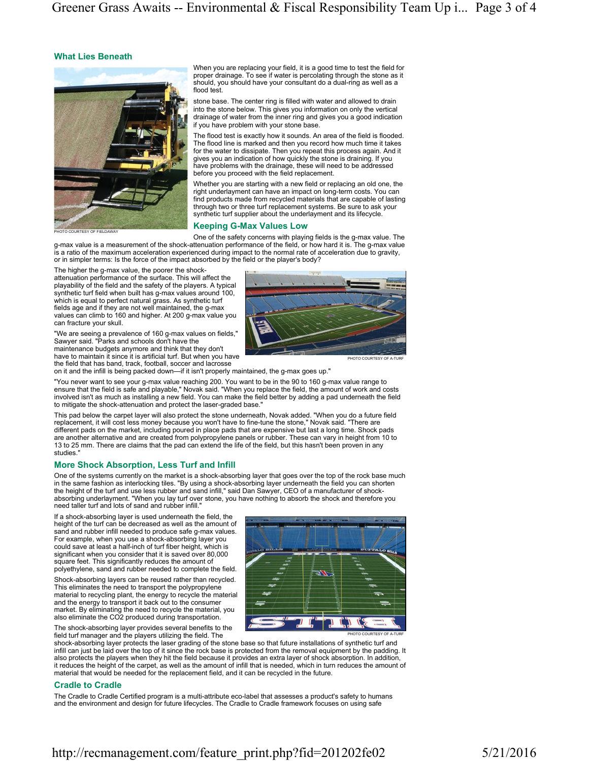### What Lies Beneath



When you are replacing your field, it is a good time to test the field for proper drainage. To see if water is percolating through the stone as it should, you should have your consultant do a dual-ring as well as a flood test.

stone base. The center ring is filled with water and allowed to drain into the stone below. This gives you information on only the vertical drainage of water from the inner ring and gives you a good indication if you have problem with your stone base.

The flood test is exactly how it sounds. An area of the field is flooded. The flood line is marked and then you record how much time it takes for the water to dissipate. Then you repeat this process again. And it gives you an indication of how quickly the stone is draining. If you have problems with the drainage, these will need to be addressed before you proceed with the field replacement.

Whether you are starting with a new field or replacing an old one, the right underlayment can have an impact on long-term costs. You can find products made from recycled materials that are capable of lasting through two or three turf replacement systems. Be sure to ask your synthetic turf supplier about the underlayment and its lifecycle.

### Keeping G-Max Values Low

One of the safety concerns with playing fields is the g-max value. The g-max value is a measurement of the shock-attenuation performance of the field, or how hard it is. The g-max value is a ratio of the maximum acceleration experienced during impact to the normal rate of acceleration due to gravity, or in simpler terms: Is the force of the impact absorbed by the field or the player's body?

The higher the g-max value, the poorer the shock-

attenuation performance of the surface. This will affect the playability of the field and the safety of the players. A typical synthetic turf field when built has g-max values around 100, which is equal to perfect natural grass. As synthetic turf fields age and if they are not well maintained, the g-max values can climb to 160 and higher. At 200 g-max value you can fracture your skull.

"We are seeing a prevalence of 160 g-max values on fields," Sawyer said. "Parks and schools don't have the maintenance budgets anymore and think that they don't have to maintain it since it is artificial turf. But when you have the field that has band, track, football, soccer and lacrosse



PHOTO COURTESY OF A-TURF

PHOTO COURTESY OF A-TURF

on it and the infill is being packed down—if it isn't properly maintained, the g-max goes up."

"You never want to see your g-max value reaching 200. You want to be in the 90 to 160 g-max value range to ensure that the field is safe and playable," Novak said. "When you replace the field, the amount of work and costs involved isn't as much as installing a new field. You can make the field better by adding a pad underneath the field to mitigate the shock-attenuation and protect the laser-graded base."

This pad below the carpet layer will also protect the stone underneath, Novak added. "When you do a future field replacement, it will cost less money because you won't have to fine-tune the stone," Novak said. "There are different pads on the market, including poured in place pads that are expensive but last a long time. Shock pads are another alternative and are created from polypropylene panels or rubber. These can vary in height from 10 to 13 to 25 mm. There are claims that the pad can extend the life of the field, but this hasn't been proven in any studies.

## More Shock Absorption, Less Turf and Infill

One of the systems currently on the market is a shock-absorbing layer that goes over the top of the rock base much in the same fashion as interlocking tiles. "By using a shock-absorbing layer underneath the field you can shorten<br>the height of the turf and use less rubber and sand infill," said Dan Sawyer, CEO of a manufacturer of shock absorbing underlayment. "When you lay turf over stone, you have nothing to absorb the shock and therefore you need taller turf and lots of sand and rubber infill."

If a shock-absorbing layer is used underneath the field, the height of the turf can be decreased as well as the amount of sand and rubber infill needed to produce safe g-max values. For example, when you use a shock-absorbing layer you could save at least a half-inch of turf fiber height, which is significant when you consider that it is saved over 80,000 square feet. This significantly reduces the amount of polyethylene, sand and rubber needed to complete the field.

Shock-absorbing layers can be reused rather than recycled. This eliminates the need to transport the polypropylene material to recycling plant, the energy to recycle the material and the energy to transport it back out to the consumer market. By eliminating the need to recycle the material, you also eliminate the CO2 produced during transportation.

The shock-absorbing layer provides several benefits to the field turf manager and the players utilizing the field. The



shock-absorbing layer protects the laser grading of the stone base so that future installations of synthetic turf and infill can just be laid over the top of it since the rock base is protected from the removal equipment by the padding. It also protects the players when they hit the field because it provides an extra layer of shock absorption. In addition, it reduces the height of the carpet, as well as the amount of infill that is needed, which in turn reduces the amount of material that would be needed for the replacement field, and it can be recycled in the future.

### Cradle to Cradle

The Cradle to Cradle Certified program is a multi-attribute eco-label that assesses a product's safety to humans and the environment and design for future lifecycles. The Cradle to Cradle framework focuses on using safe